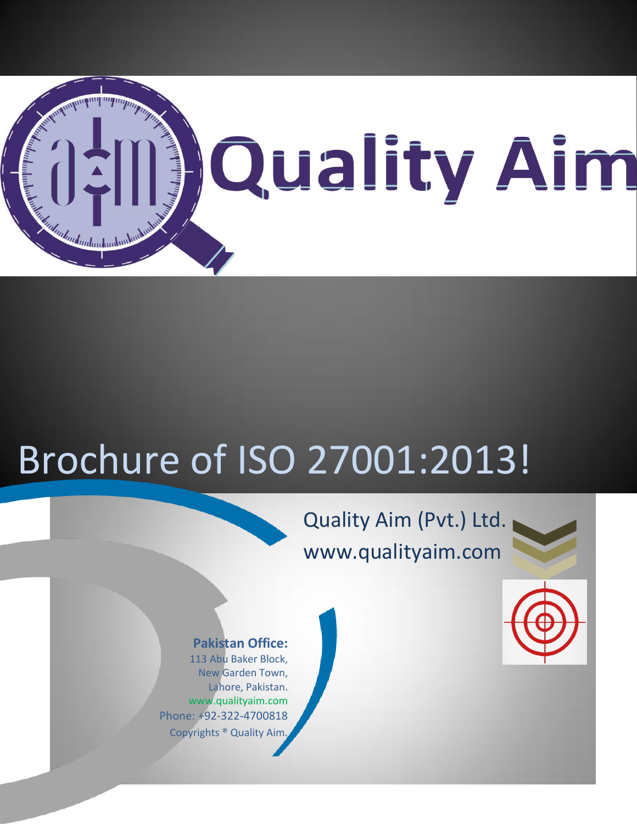

# Brochure of ISO 27001:2013!

# Quality Aim (Pvt.) Ltd. www.qualityaim.com





#### **Pakistan Office:**

113 Abu Baker Block, New Garden Town, Lahore, Pakistan. www.qualityaim.com Phone: +92-322-4700818 Copyrights ® Quality Aim.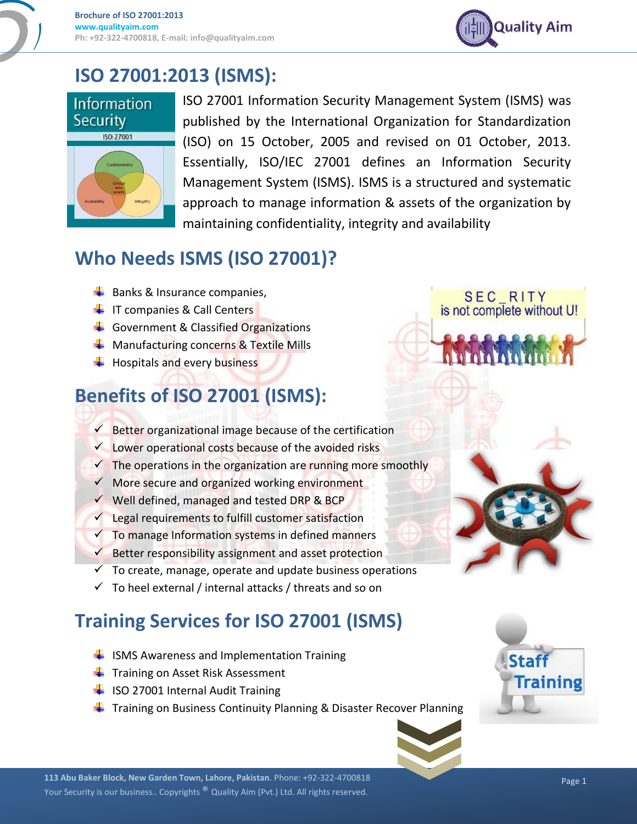

SEC\_RITY<br>is not complete without U!

#### **ISO 27001:2013 (ISMS):**





ISO 27001 Information Security Management System (ISMS) was published by the International Organization for Standardization (ISO) on 15 October, 2005 and revised on 01 October, 2013. Essentially, ISO/IEC 27001 defines an Information Security Management System (ISMS). ISMS is a structured and systematic approach to manage information & assets of the organization by maintaining confidentiality, integrity and availability

## **Who Needs ISMS (ISO 27001)?**

- $\overline{\phantom{a}}$  Banks & Insurance companies,
- $\leftarrow$  IT companies & Call Centers
- Government & Classified Organizations
- $\leftarrow$  Manufacturing concerns & Textile Mills
- $\leftarrow$  Hospitals and every business

# **Benefits of ISO 27001 (ISMS):**

- $\checkmark$  Better organizational image because of the certification
- $\checkmark$  Lower operational costs because of the avoided risks
- $\checkmark$  The operations in the organization are running more smoothly
- $\checkmark$  More secure and organized working environment
- $\checkmark$  Well defined, managed and tested DRP & BCP
- $\checkmark$  Legal requirements to fulfill customer satisfaction
- $\checkmark$  To manage Information systems in defined manners
- $\checkmark$  Better responsibility assignment and asset protection
- $\checkmark$  To create, manage, operate and update business operations
- $\checkmark$  To heel external / internal attacks / threats and so on

# **Training Services for ISO 27001 (ISMS)**

- $\frac{1}{2}$  ISMS Awareness and Implementation Training
- $\leftarrow$  Training on Asset Risk Assessment
- ISO 27001 Internal Audit Training
- $\ddot{\phantom{1}}$  Training on Business Continuity Planning & Disaster Recover Planning



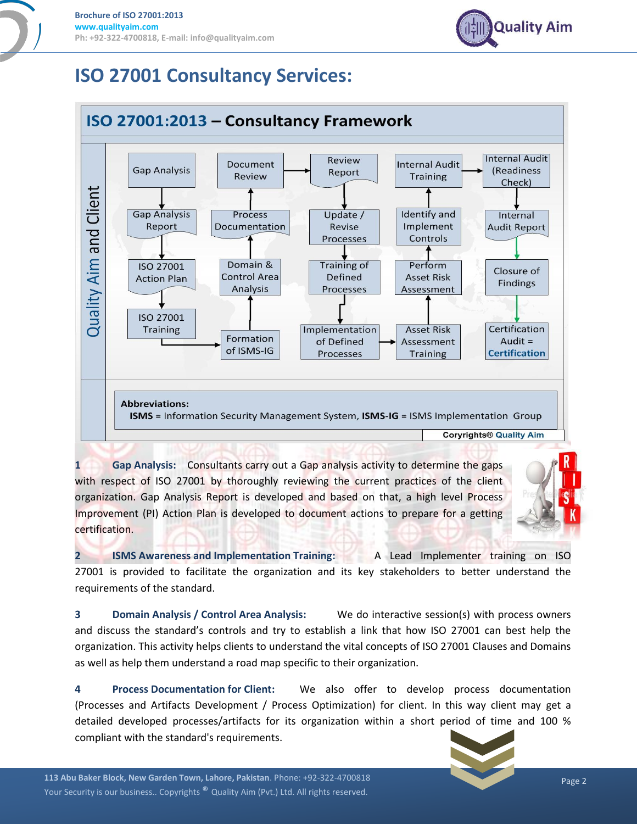

#### **ISO 27001 Consultancy Services:**



**1 Gap Analysis:** Consultants carry out a Gap analysis activity to determine the gaps with respect of ISO 27001 by thoroughly reviewing the current practices of the client organization. Gap Analysis Report is developed and based on that, a high level Process Improvement (PI) Action Plan is developed to document actions to prepare for a getting certification.



**2 ISMS Awareness and Implementation Training:** A Lead Implementer training on ISO 27001 is provided to facilitate the organization and its key stakeholders to better understand the requirements of the standard.

**3 Domain Analysis / Control Area Analysis:** We do interactive session(s) with process owners and discuss the standard's controls and try to establish a link that how ISO 27001 can best help the organization. This activity helps clients to understand the vital concepts of ISO 27001 Clauses and Domains as well as help them understand a road map specific to their organization.

**4 Process Documentation for Client:** We also offer to develop process documentation (Processes and Artifacts Development / Process Optimization) for client. In this way client may get a detailed developed processes/artifacts for its organization within a short period of time and 100 % compliant with the standard's requirements.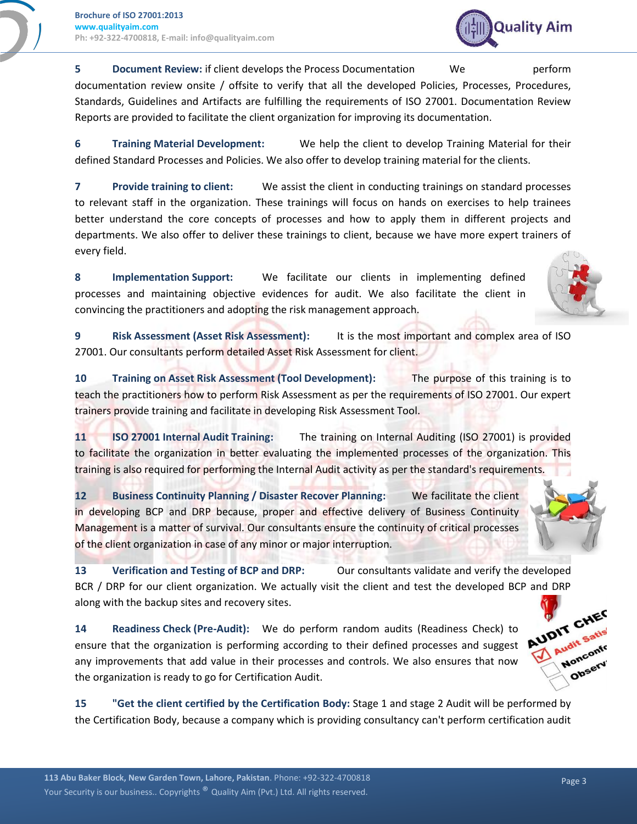

**5 Document Review:** if client develops the Process Documentation We perform documentation review onsite / offsite to verify that all the developed Policies, Processes, Procedures, Standards, Guidelines and Artifacts are fulfilling the requirements of ISO 27001. Documentation Review Reports are provided to facilitate the client organization for improving its documentation.

**6 Training Material Development:** We help the client to develop Training Material for their defined Standard Processes and Policies. We also offer to develop training material for the clients.

**7 Provide training to client:** We assist the client in conducting trainings on standard processes to relevant staff in the organization. These trainings will focus on hands on exercises to help trainees better understand the core concepts of processes and how to apply them in different projects and departments. We also offer to deliver these trainings to client, because we have more expert trainers of every field.

**8 Implementation Support:** We facilitate our clients in implementing defined processes and maintaining objective evidences for audit. We also facilitate the client in convincing the practitioners and adopting the risk management approach.

**9 Risk Assessment (Asset Risk Assessment):** It is the most important and complex area of ISO 27001. Our consultants perform detailed Asset Risk Assessment for client.

**10 Training on Asset Risk Assessment (Tool Development):** The purpose of this training is to teach the practitioners how to perform Risk Assessment as per the requirements of ISO 27001. Our expert trainers provide training and facilitate in developing Risk Assessment Tool.

**11 ISO 27001 Internal Audit Training:** The training on Internal Auditing (ISO 27001) is provided to facilitate the organization in better evaluating the implemented processes of the organization. This training is also required for performing the Internal Audit activity as per the standard's requirements.

**12 Business Continuity Planning / Disaster Recover Planning:** We facilitate the client in developing BCP and DRP because, proper and effective delivery of Business Continuity Management is a matter of survival. Our consultants ensure the continuity of critical processes of the client organization in case of any minor or major interruption.

**13 Verification and Testing of BCP and DRP:** Our consultants validate and verify the developed BCR / DRP for our client organization. We actually visit the client and test the developed BCP and DRP along with the backup sites and recovery sites.

**14 Readiness Check (Pre-Audit):** We do perform random audits (Readiness Check) to ensure that the organization is performing according to their defined processes and suggest any improvements that add value in their processes and controls. We also ensures that now the organization is ready to go for Certification Audit.

**15 "Get the client certified by the Certification Body:** Stage 1 and stage 2 Audit will be performed by the Certification Body, because a company which is providing consultancy can't perform certification audit



Observ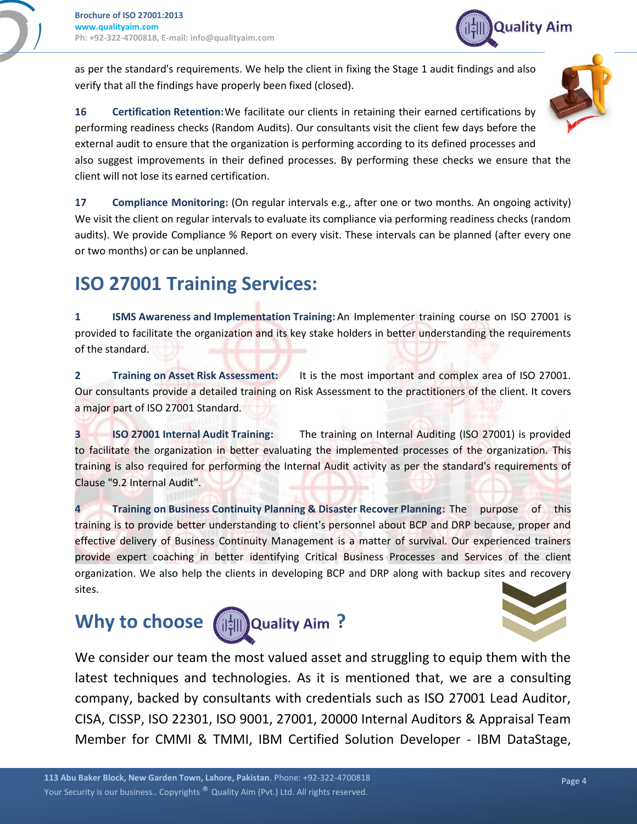**Quality Aim** 

as per the standard's requirements. We help the client in fixing the Stage 1 audit findings and also verify that all the findings have properly been fixed (closed).

**16 Certification Retention:**We facilitate our clients in retaining their earned certifications by performing readiness checks (Random Audits). Our consultants visit the client few days before the external audit to ensure that the organization is performing according to its defined processes and also suggest improvements in their defined processes. By performing these checks we ensure that the client will not lose its earned certification.

**17 Compliance Monitoring:** (On regular intervals e.g., after one or two months. An ongoing activity) We visit the client on regular intervals to evaluate its compliance via performing readiness checks (random audits). We provide Compliance % Report on every visit. These intervals can be planned (after every one or two months) or can be unplanned.

#### **ISO 27001 Training Services:**

**1 ISMS Awareness and Implementation Training:**An Implementer training course on ISO 27001 is provided to facilitate the organization and its key stake holders in better understanding the requirements of the standard.

**2 Training on Asset Risk Assessment:** It is the most important and complex area of ISO 27001. Our consultants provide a detailed training on Risk Assessment to the practitioners of the client. It covers a major part of ISO 27001 Standard.

**3 ISO 27001 Internal Audit Training:** The training on Internal Auditing (ISO 27001) is provided to facilitate the organization in better evaluating the implemented processes of the organization. This training is also required for performing the Internal Audit activity as per the standard's requirements of Clause "9.2 Internal Audit".

**4 Training on Business Continuity Planning & Disaster Recover Planning:** The purpose of this training is to provide better understanding to client's personnel about BCP and DRP because, proper and effective delivery of Business Continuity Management is a matter of survival. Our experienced trainers provide expert coaching in better identifying Critical Business Processes and Services of the client organization. We also help the clients in developing BCP and DRP along with backup sites and recovery sites.

### **Why to choose**  $\left(\frac{1}{2}||\right)$  **Quality Aim ?**







We consider our team the most valued asset and struggling to equip them with the latest techniques and technologies. As it is mentioned that, we are a consulting company, backed by consultants with credentials such as ISO 27001 Lead Auditor, CISA, CISSP, ISO 22301, ISO 9001, 27001, 20000 Internal Auditors & Appraisal Team Member for CMMI & TMMI, IBM Certified Solution Developer - IBM DataStage,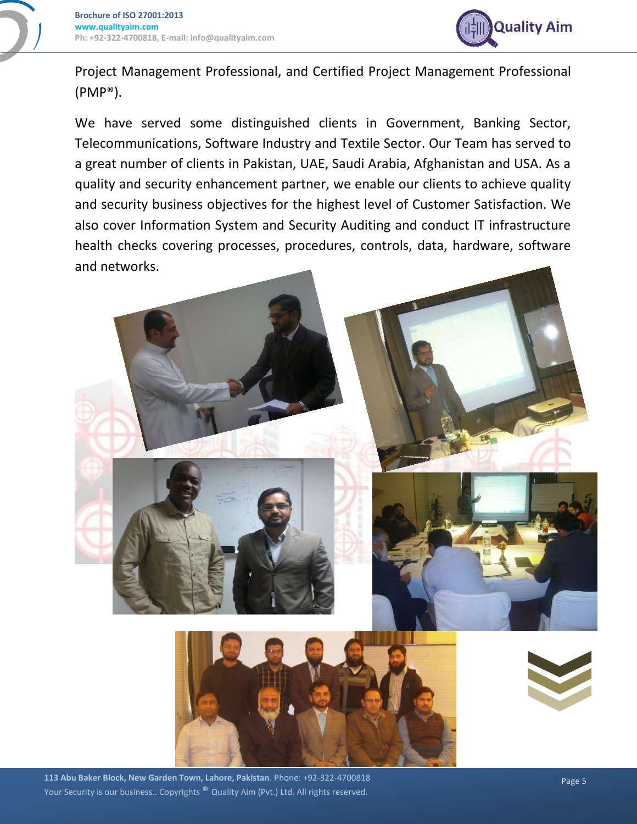

Project Management Professional, and Certified Project Management Professional (PMP®).

We have served some distinguished clients in Government, Banking Sector, Telecommunications, Software Industry and Textile Sector. Our Team has served to a great number of clients in Pakistan, UAE, Saudi Arabia, Afghanistan and USA. As a quality and security enhancement partner, we enable our clients to achieve quality and security business objectives for the highest level of Customer Satisfaction. We also cover Information System and Security Auditing and conduct IT infrastructure health checks covering processes, procedures, controls, data, hardware, software and networks.



 Page 5 **113 Abu Baker Block, New Garden Town, Lahore, Pakistan**. Phone: +92-322-4700818 Your Security is our business.. Copyrights ® Quality Aim (Pvt.) Ltd. All rights reserved.